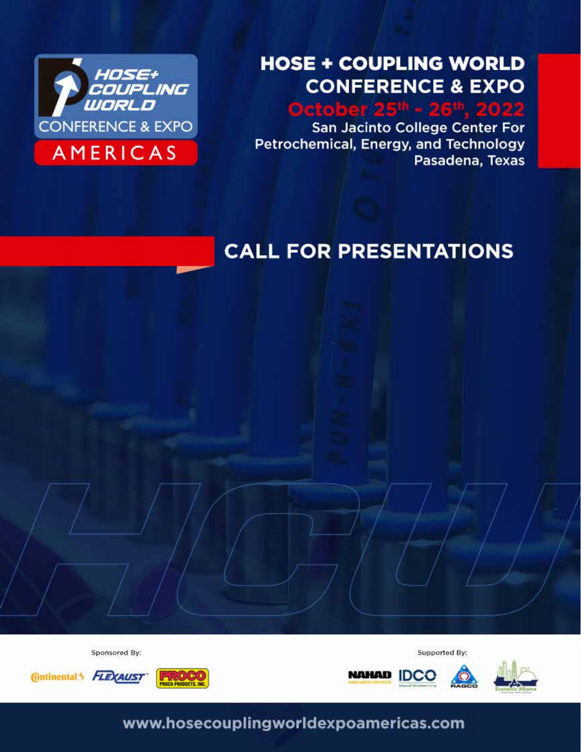

#### October 25th-26th, 2022 San Jacinto College LyondellBasell Center for Petrochemical, Energy & Technology (CPET) EXPO I

October 25th - 26th, 2022

San Jacinto College Center For Petrochemical, Energy, and Technology Pasadena, Texas

# **CALL FOR PRESENTATIONS**

Sponsored By:







Supported By:

**www.hosecouplingworldexpoamericas.com**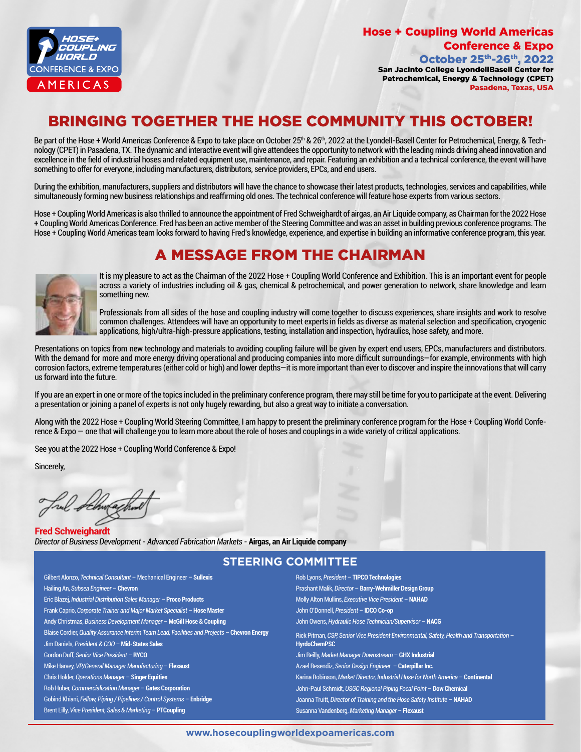

### Hose + Coupling World Americas Conference & Expo

October 25th-26th, 2022 San Jacinto College LyondellBasell Center for Petrochemical, Energy & Technology (CPET) Pasadena, Texas, USA

# BRINGING TOGETHER THE HOSE COMMUNITY THIS OCTOBER!

Be part of the Hose + World Americas Conference & Expo to take place on October 25<sup>th</sup> & 26<sup>th</sup>, 2022 at the Lyondell-Basell Center for Petrochemical, Energy, & Technology (CPET) in Pasadena, TX. The dynamic and interactive event will give attendees the opportunity to network with the leading minds driving ahead innovation and excellence in the field of industrial hoses and related equipment use, maintenance, and repair. Featuring an exhibition and a technical conference, the event will have something to offer for everyone, including manufacturers, distributors, service providers, EPCs, and end users.

During the exhibition, manufacturers, suppliers and distributors will have the chance to showcase their latest products, technologies, services and capabilities, while simultaneously forming new business relationships and reaffirming old ones. The technical conference will feature hose experts from various sectors.

Hose + Coupling World Americas is also thrilled to announce the appointment of Fred Schweighardt of airgas, an Air Liquide company, as Chairman for the 2022 Hose + Coupling World Americas Conference. Fred has been an active member of the Steering Committee and was an asset in building previous conference programs. The Hose + Coupling World Americas team looks forward to having Fred's knowledge, experience, and expertise in building an informative conference program, this year.

# A MESSAGE FROM THE CHAIRMAN



It is my pleasure to act as the Chairman of the 2022 Hose + Coupling World Conference and Exhibition. This is an important event for people across a variety of industries including oil & gas, chemical & petrochemical, and power generation to network, share knowledge and learn something new.

Professionals from all sides of the hose and coupling industry will come together to discuss experiences, share insights and work to resolve common challenges. Attendees will have an opportunity to meet experts in fields as diverse as material selection and specification, cryogenic applications, high/ultra-high-pressure applications, testing, installation and inspection, hydraulics, hose safety, and more.

Presentations on topics from new technology and materials to avoiding coupling failure will be given by expert end users, EPCs, manufacturers and distributors. With the demand for more and more energy driving operational and producing companies into more difficult surroundings—for example, environments with high corrosion factors, extreme temperatures (either cold or high) and lower depths—it is more important than ever to discover and inspire the innovations that will carry us forward into the future.

If you are an expert in one or more of the topics included in the preliminary conference program, there may still be time for you to participate at the event. Delivering a presentation or joining a panel of experts is not only hugely rewarding, but also a great way to initiate a conversation.

Along with the 2022 Hose + Coupling World Steering Committee, I am happy to present the preliminary conference program for the Hose + Coupling World Conference & Expo — one that will challenge you to learn more about the role of hoses and couplings in a wide variety of critical applications.

See you at the 2022 Hose + Coupling World Conference & Expo!

Sincerely,

**Fred Schweighardt** *Director of Business Development - Advanced Fabrication Markets -* **Airgas, an Air Liquide company**

#### **STEERING COMMITTEE**

Gilbert Alonzo, *Technical Consultant* – Mechanical Engineer – **Sullexis** Hailing An, *Subsea Engineer* – **Chevron** Eric Blazej, *Industrial Distribution Sales Manager* – **Proco Products** Frank Caprio, *Corporate Trainer and Major Market Specialist* – **Hose Master** Andy Christmas, *Business Development Manager* – **McGill Hose & Coupling**  Blaise Cordier, *Quality Assurance Interim Team Lead, Facilities and Projects* – **Chevron Energy** Jim Daniels, *President & COO* – **Mid-States Sales** Gordon Duff, *Senior Vice President* – **RYCO** Mike Harvey, *VP/General Manager Manufacturing* – **Flexaust**  Chris Holder, *Operations Manager* – **Singer Equities** Rob Huber, *Commercialization Manager* – **Gates Corporation** Gobind Khiani, *Fellow, Piping / Pipelines / Control Systems* – **Enbridge** Brent Lilly, *Vice President, Sales & Marketing* – **PTCoupling**

Rob Lyons, *President* – **TIPCO Technologies** Prashant Malik, *Director* – **Barry-Wehmiller Design Group** Molly Alton Mullins, *Executive Vice President* – **NAHAD** John O'Donnell, *President* – **IDCO Co-op** John Owens, *Hydraulic Hose Technician/Supervisor* – **NACG** Rick Pitman, *CSP, Senior Vice President Environmental, Safety, Health and Transportation* – **HyrdoChemPSC** Jim Reilly, *Market Manager Downstream* – **GHX Industrial** Azael Resendiz, *Senior Design Engineer* – **Caterpillar Inc.** Karina Robinson, *Market Director, Industrial Hose for North America* – **Continental** John-Paul Schmidt, *USGC Regional Piping Focal Point* – **Dow Chemical** Joanna Truitt, *Director of Training and the Hose Safety Institute* – **NAHAD** Susanna Vandenberg, *Marketing Manager* – **Flexaust**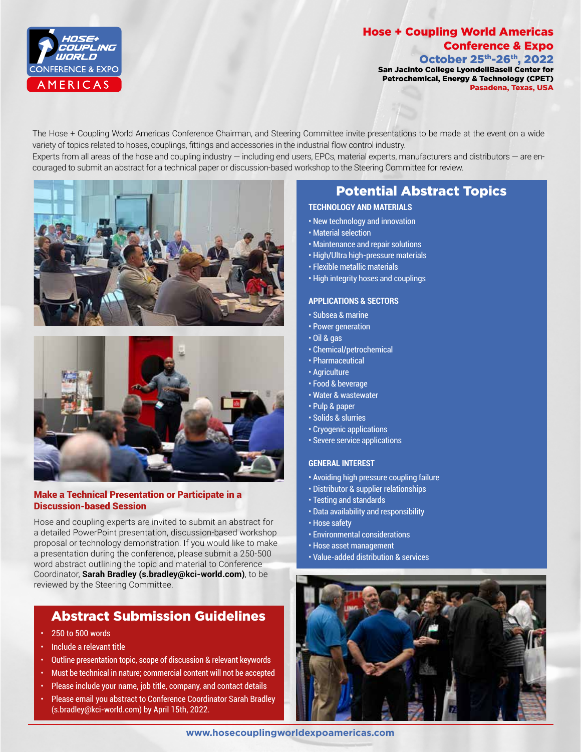

## Hose + Coupling World Americas Conference & Expo

October 25th-26th, 2022 San Jacinto College LyondellBasell Center for Petrochemical, Energy & Technology (CPET) Pasadena, Texas, USA

The Hose + Coupling World Americas Conference Chairman, and Steering Committee invite presentations to be made at the event on a wide variety of topics related to hoses, couplings, fittings and accessories in the industrial flow control industry. Experts from all areas of the hose and coupling industry — including end users, EPCs, material experts, manufacturers and distributors — are en-

couraged to submit an abstract for a technical paper or discussion-based workshop to the Steering Committee for review.





#### Make a Technical Presentation or Participate in a Discussion-based Session

Hose and coupling experts are invited to submit an abstract for a detailed PowerPoint presentation, discussion-based workshop proposal or technology demonstration. If you would like to make a presentation during the conference, please submit a 250-500 word abstract outlining the topic and material to Conference Coordinator, **Sarah Bradley (s.bradley@kci-world.com)**, to be reviewed by the Steering Committee.

### Abstract Submission Guidelines

- 250 to 500 words
- Include a relevant title
- Outline presentation topic, scope of discussion & relevant keywords
- Must be technical in nature; commercial content will not be accepted
- Please include your name, job title, company, and contact details
- Please email you abstract to Conference Coordinator Sarah Bradley (s.bradley@kci-world.com) by April 15th, 2022.

#### Potential Abstract Topics **TECHNOLOGY AND MATERIALS**

- New technology and innovation
- Material selection
- 
- Maintenance and repair solutions • High/Ultra high-pressure materials
- Flexible metallic materials
- High integrity hoses and couplings

#### **APPLICATIONS & SECTORS**

- Subsea & marine
- Power generation
- Oil & gas
- Chemical/petrochemical
- Pharmaceutical
- Agriculture
- Food & beverage
- Water & wastewater
- Pulp & paper
- Solids & slurries
- Cryogenic applications
- Severe service applications

#### **GENERAL INTEREST**

- Avoiding high pressure coupling failure
- Distributor & supplier relationships • Testing and standards
- Data availability and responsibility
- Hose safety
- Environmental considerations
- Hose asset management
- Value-added distribution & services